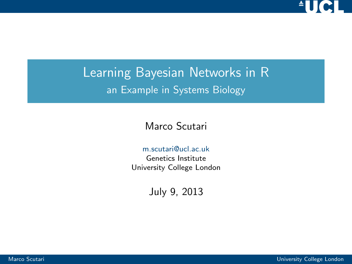

### Learning Bayesian Networks in R an Example in Systems Biology

#### Marco Scutari

#### [m.scutari@ucl.ac.uk](mailto:m.scutari@ucl.ac.uk)

Genetics Institute University College London

July 9, 2013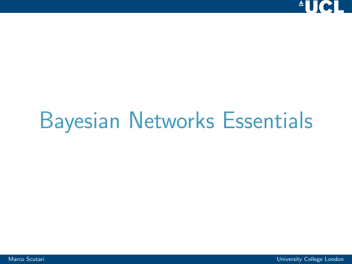<span id="page-1-0"></span>

## [Bayesian Networks Essentials](#page-1-0)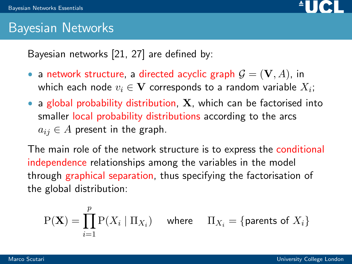

#### Bayesian Networks

Bayesian networks [\[21,](#page-69-0) [27\]](#page-71-0) are defined by:

- $\bullet$ a network structure, a directed acyclic graph  $\mathcal{G} = (\mathbf{V}, A)$ , in which each node  $v_i \in \mathbf{V}$  corresponds to a random variable  $X_i;$
- a global probability distribution,  $X$ , which can be factorised into smaller local probability distributions according to the arcs  $a_{ij} \in A$  present in the graph.

The main role of the network structure is to express the conditional independence relationships among the variables in the model through graphical separation, thus specifying the factorisation of the global distribution:

$$
P(\mathbf{X}) = \prod_{i=1}^{p} P(X_i \mid \Pi_{X_i}) \quad \text{ where } \quad \Pi_{X_i} = \{\text{parents of } X_i\}
$$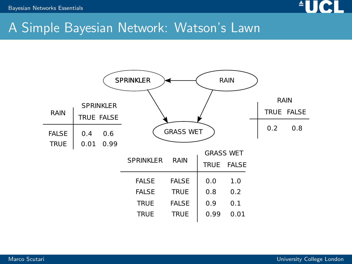

#### A Simple Bayesian Network: Watson's Lawn

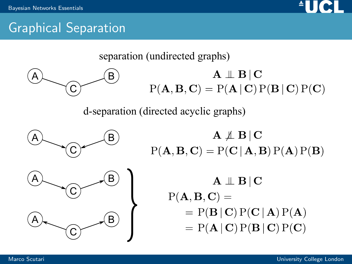

#### Graphical Separation

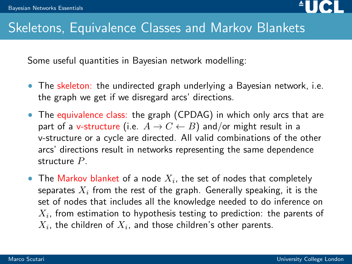

#### Skeletons, Equivalence Classes and Markov Blankets

Some useful quantities in Bayesian network modelling:

- The skeleton: the undirected graph underlying a Bayesian network, i.e. the graph we get if we disregard arcs' directions.
- The equivalence class: the graph (CPDAG) in which only arcs that are part of a v-structure (i.e.  $A \rightarrow C \leftarrow B$ ) and/or might result in a v-structure or a cycle are directed. All valid combinations of the other arcs' directions result in networks representing the same dependence structure P.
- The Markov blanket of a node  $X_i$ , the set of nodes that completely separates  $X_i$  from the rest of the graph. Generally speaking, it is the set of nodes that includes all the knowledge needed to do inference on  $X_i$ , from estimation to hypothesis testing to prediction: the parents of  $X_i$ , the children of  $X_i$ , and those children's other parents.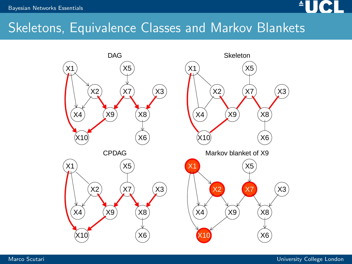

#### Skeletons, Equivalence Classes and Markov Blankets

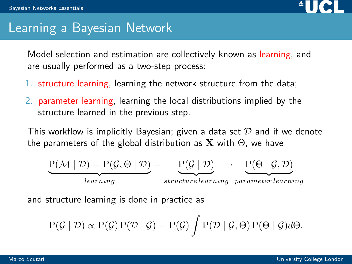

#### Learning a Bayesian Network

Model selection and estimation are collectively known as learning, and are usually performed as a two-step process:

- 1. structure learning, learning the network structure from the data;
- 2. parameter learning, learning the local distributions implied by the structure learned in the previous step.

This workflow is implicitly Bayesian; given a data set  $D$  and if we denote the parameters of the global distribution as **X** with  $\Theta$ , we have

$$
\underbrace{P(\mathcal{M} \mid \mathcal{D}) = P(\mathcal{G}, \Theta \mid \mathcal{D})}_{learning} = \underbrace{P(\mathcal{G} \mid \mathcal{D})}_{structure \ learning} \cdot \underbrace{P(\Theta \mid \mathcal{G}, \mathcal{D})}_{parameter \ learning}
$$

and structure learning is done in practice as

$$
P(\mathcal{G} \mid \mathcal{D}) \propto P(\mathcal{G}) P(\mathcal{D} \mid \mathcal{G}) = P(\mathcal{G}) \int P(\mathcal{D} \mid \mathcal{G}, \Theta) P(\Theta \mid \mathcal{G}) d\Theta.
$$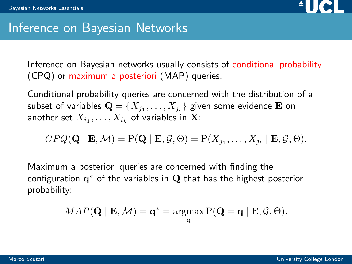

#### Inference on Bayesian Networks

Inference on Bayesian networks usually consists of conditional probability (CPQ) or maximum a posteriori (MAP) queries.

Conditional probability queries are concerned with the distribution of a subset of variables  $\mathbf{Q} = \{X_{j_1}, \ldots, X_{j_l}\}$  given some evidence  $\mathbf E$  on another set  $X_{i_1},\ldots,X_{i_k}$  of variables in  $\mathbf X$ :

$$
CPQ(\mathbf{Q} \mid \mathbf{E}, \mathcal{M}) = P(\mathbf{Q} \mid \mathbf{E}, \mathcal{G}, \Theta) = P(X_{j_1}, \dots, X_{j_l} \mid \mathbf{E}, \mathcal{G}, \Theta).
$$

Maximum a posteriori queries are concerned with finding the configuration  $\mathbf{q}^*$  of the variables in  $\mathbf{Q}$  that has the highest posterior probability:

$$
MAP(\mathbf{Q} \mid \mathbf{E}, \mathcal{M}) = \mathbf{q}^* = \operatorname*{argmax}_{\mathbf{q}} \mathrm{P}(\mathbf{Q} = \mathbf{q} \mid \mathbf{E}, \mathcal{G}, \Theta).
$$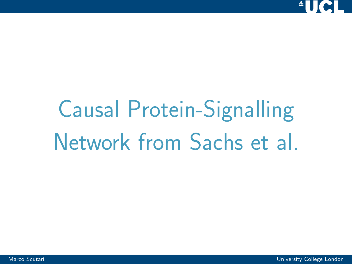<span id="page-9-0"></span>

# [Causal Protein-Signalling](#page-9-0) [Network from Sachs et al.](#page-9-0)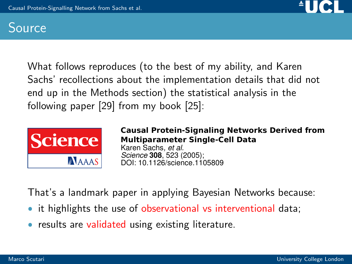

#### Source

What follows reproduces (to the best of my ability, and Karen Sachs' recollections about the implementation details that did not end up in the Methods section) the statistical analysis in the following paper [\[29\]](#page-71-1) from my book [\[25\]](#page-70-0):



DOI: 10.1126/science.1105809 *Science* **308**, 523 (2005); Karen Sachs*, et al.* **Causal Protein-Signaling Networks Derived from Multiparameter Single-Cell Data**

That's a landmark paper in applying Bayesian Networks because:

- it highlights the use of observational vs interventional data;
- results are validated using existing literature.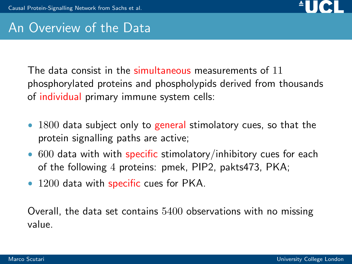

#### An Overview of the Data

The data consist in the simultaneous measurements of 11 phosphorylated proteins and phospholypids derived from thousands of individual primary immune system cells:

- 1800 data subject only to general stimolatory cues, so that the protein signalling paths are active;
- $\bullet$  $600$  data with with specific stimolatory/inhibitory cues for each of the following 4 proteins: pmek, PIP2, pakts473, PKA;
- $\bullet$ 1200 data with specific cues for PKA.

Overall, the data set contains 5400 observations with no missing value.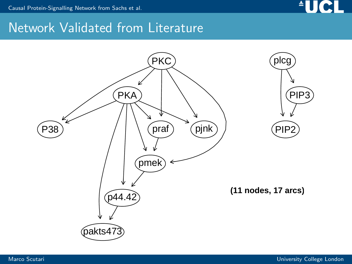

#### Network Validated from Literature

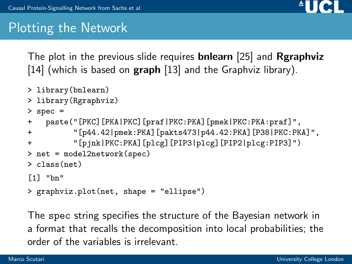

#### Plotting the Network

The plot in the previous slide requires **bnlearn** [\[25\]](#page-70-0) and **Rgraphviz** [\[14\]](#page-68-0) (which is based on  $graph$  [\[13\]](#page-67-0) and the Graphviz library).

- > library(bnlearn)
- > library(Rgraphviz)

```
> spec =
```

```
+ paste("[PKC][PKA|PKC][praf|PKC:PKA][pmek|PKC:PKA:praf]",
```
- + "[p44.42|pmek:PKA][pakts473|p44.42:PKA][P38|PKC:PKA]",
- + "[pjnk|PKC:PKA][plcg][PIP3|plcg][PIP2|plcg:PIP3]")

```
> net = model2network(spec)
```

```
> class(net)
```

```
[1] "bn"
```

```
> graphviz.plot(net, shape = "ellipse")
```
The spec string specifies the structure of the Bayesian network in a format that recalls the decomposition into local probabilities; the order of the variables is irrelevant.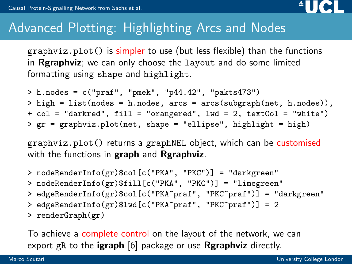

#### Advanced Plotting: Highlighting Arcs and Nodes

graphviz.plot() is simpler to use (but less flexible) than the functions in Rgraphviz; we can only choose the layout and do some limited formatting using shape and highlight.

 $> h.nodes = c("praf", "pmek", "p44.42", "pakts473")$  $>$  high = list(nodes = h.nodes, arcs = arcs(subgraph(net, h.nodes)), + col = "darkred", fill = "orangered", lwd = 2, textCol = "white")  $>$  gr = graphviz.plot(net, shape = "ellipse", highlight = high)

graphviz.plot() returns a graphNEL object, which can be customised with the functions in graph and Rgraphviz.

- > nodeRenderInfo(gr)\$col[c("PKA", "PKC")] = "darkgreen"
- > nodeRenderInfo(gr)\$fill[c("PKA", "PKC")] = "limegreen"
- > edgeRenderInfo(gr)\$col[c("PKA~praf", "PKC~praf")] = "darkgreen"
- > edgeRenderInfo(gr)\$lwd[c("PKA~praf", "PKC~praf")] = 2
- > renderGraph(gr)

To achieve a complete control on the layout of the network, we can export gR to the igraph [\[6\]](#page-66-0) package or use Rgraphviz directly.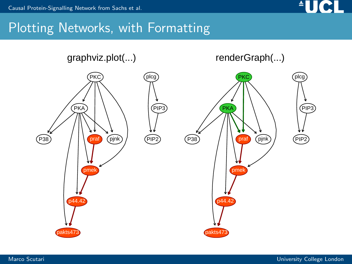

#### Plotting Networks, with Formatting

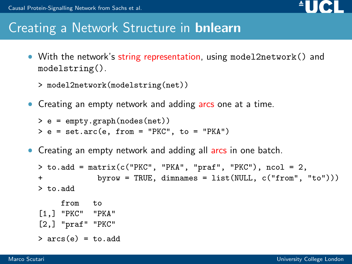

#### Creating a Network Structure in bnlearn

 With the network's string representation, using model2network() and modelstring().

```
> model2network(modelstring(net))
```
• Creating an empty network and adding arcs one at a time.

```
> e = empty.graph(nodes(net))
> e = set.arc(e, from = "PKC", to = "PKA")
```
• Creating an empty network and adding all arcs in one batch.

```
> to.add = matrix(c("PKC", "PKA", "praf", "PKC"), ncol = 2,
+ byrow = TRUE, dimnames = list(NULL, c("from", "to")))
> to.add
    from to
[1,] "PKC" "PKA"
[2,] "praf" "PKC"
> arcs(e) = to.add
```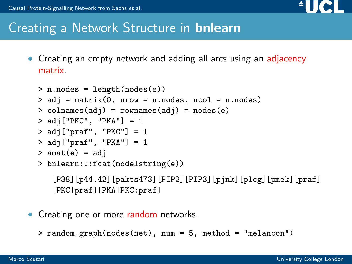

#### Creating a Network Structure in bnlearn

 Creating an empty network and adding all arcs using an adjacency matrix.

```
> n.nodes = length(nodes(e))
> ad<sub>1</sub> = matrix(0, nrow = n.nodes, ncol = n.nodes)> colnames(adj) = rownames(adj) = nodes(e)
> adj["PKC", "PKA"] = 1
> adj["praf", "PKC"] = 1
> adj["praf", "PKA"] = 1
> amat(e) = adj
> bnlearn:::fcat(modelstring(e))
   [P38][p44.42][pakts473][PIP2][PIP3][pjnk][plcg][pmek][praf]
```
[PKC|praf][PKA|PKC:praf]

- Creating one or more random networks.
	- > random.graph(nodes(net), num = 5, method = "melancon")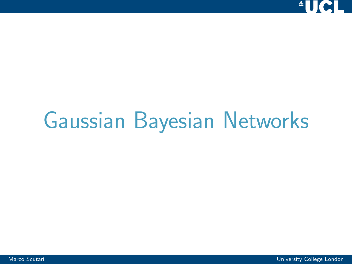<span id="page-18-0"></span>

## [Gaussian Bayesian Networks](#page-18-0)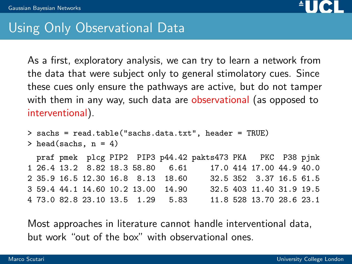

#### Using Only Observational Data

As a first, exploratory analysis, we can try to learn a network from the data that were subject only to general stimolatory cues. Since these cues only ensure the pathways are active, but do not tamper with them in any way, such data are observational (as opposed to interventional).

```
> sachs = read.table("sachs.data.txt", header = TRUE)
> head(sachs, n = 4)
```
praf pmek plcg PIP2 PIP3 p44.42 pakts473 PKA PKC P38 pjnk 1 26.4 13.2 8.82 18.3 58.80 6.61 17.0 414 17.00 44.9 40.0 2 35.9 16.5 12.30 16.8 8.13 18.60 32.5 352 3.37 16.5 61.5 3 59.4 44.1 14.60 10.2 13.00 14.90 32.5 403 11.40 31.9 19.5 4 73.0 82.8 23.10 13.5 1.29 5.83 11.8 528 13.70 28.6 23.1

Most approaches in literature cannot handle interventional data, but work "out of the box" with observational ones.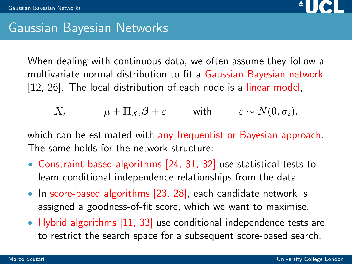

#### Gaussian Bayesian Networks

When dealing with continuous data, we often assume they follow a multivariate normal distribution to fit a Gaussian Bayesian network [\[12,](#page-67-1) [26\]](#page-70-1). The local distribution of each node is a linear model,

$$
X_i = \mu + \Pi_{X_i} \beta + \varepsilon \quad \text{with} \quad \varepsilon \sim N(0, \sigma_i).
$$

which can be estimated with any frequentist or Bayesian approach. The same holds for the network structure:

- Constraint-based algorithms [\[24,](#page-70-2) [31,](#page-72-0) [32\]](#page-72-1) use statistical tests to learn conditional independence relationships from the data.
- In score-based algorithms [\[23,](#page-70-3) [28\]](#page-71-2), each candidate network is assigned a goodness-of-fit score, which we want to maximise.
- Hybrid algorithms [\[11,](#page-67-2) [33\]](#page-72-2) use conditional independence tests are to restrict the search space for a subsequent score-based search.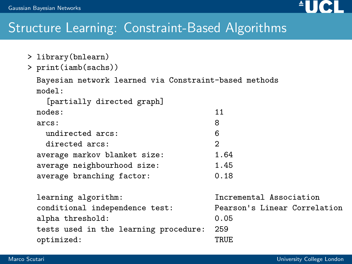

#### Structure Learning: Constraint-Based Algorithms

- > library(bnlearn)
- > print(iamb(sachs))

```
Bayesian network learned via Constraint-based methods
model:
```
[partially directed graph]

| nodes:                       | 11            |
|------------------------------|---------------|
| arcs:                        | 8             |
| undirected arcs:             | 6             |
| directed arcs:               | $\mathcal{P}$ |
| average markov blanket size: | 1.64          |
| average neighbourhood size:  | 1.45          |
| average branching factor:    | 0.18          |

learning algorithm: Incremental Association conditional independence test: Pearson's Linear Correlation alpha threshold: 0.05 tests used in the learning procedure: 259 optimized: TRUE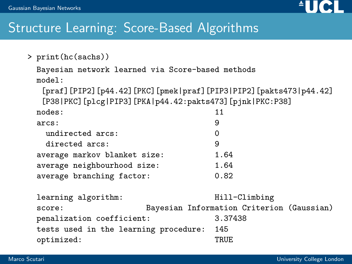

#### Structure Learning: Score-Based Algorithms

```
> print(hc(sachs))
```

```
Bayesian network learned via Score-based methods
model:
```
[praf][PIP2][p44.42][PKC][pmek|praf][PIP3|PIP2][pakts473|p44.42] [P38|PKC][plcg|PIP3][PKA|p44.42:pakts473][pjnk|PKC:P38]

| nodes :                      | 11   |
|------------------------------|------|
| arcs:                        | 9    |
| undirected arcs:             | 0    |
| directed arcs:               | 9    |
| average markov blanket size: | 1.64 |
| average neighbourhood size:  | 1.64 |
| average branching factor:    | 0.82 |
|                              |      |

learning algorithm: Hill-Climbing score: Bayesian Information Criterion (Gaussian) penalization coefficient: 3.37438 tests used in the learning procedure: 145 optimized: TRUE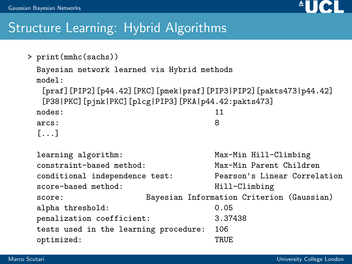

#### Structure Learning: Hybrid Algorithms

```
> print(mmhc(sachs))
 Bayesian network learned via Hybrid methods
 model:
  [praf][PIP2][p44.42][PKC][pmek|praf][PIP3|PIP2][pakts473|p44.42]
  [P38|PKC][pjnk|PKC][plcg|PIP3][PKA|p44.42:pakts473]
 nodes: 11
 arcs: 8
 [1, 1, 1]learning algorithm: Max-Min Hill-Climbing
 constraint-based method: Max-Min Parent Children
 conditional independence test: Pearson's Linear Correlation
 score-based method: Hill-Climbing
 score: Bayesian Information Criterion (Gaussian)
 alpha threshold: 0.05
 penalization coefficient: 3.37438
 tests used in the learning procedure: 106
 optimized: TRUE
```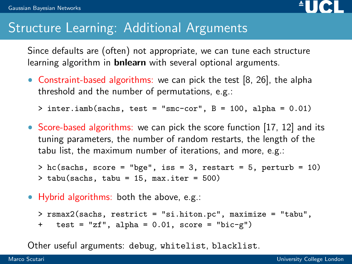

#### Structure Learning: Additional Arguments

Since defaults are (often) not appropriate, we can tune each structure learning algorithm in **bnlearn** with several optional arguments.

 Constraint-based algorithms: we can pick the test [\[8,](#page-66-1) [26\]](#page-70-1), the alpha threshold and the number of permutations, e.g.:

 $>$  inter.iamb(sachs, test = "smc-cor",  $B = 100$ , alpha = 0.01)

• Score-based algorithms: we can pick the score function [\[17,](#page-68-1) [12\]](#page-67-1) and its tuning parameters, the number of random restarts, the length of the tabu list, the maximum number of iterations, and more, e.g.:

 $>$  hc(sachs, score = "bge", iss = 3, restart = 5, perturb = 10) > tabu(sachs, tabu = 15, max.iter = 500)

Hybrid algorithms: both the above, e.g.:

> rsmax2(sachs, restrict = "si.hiton.pc", maximize = "tabu", + test = "zf", alpha = 0.01, score = "bic-g")

Other useful arguments: debug, whitelist, blacklist.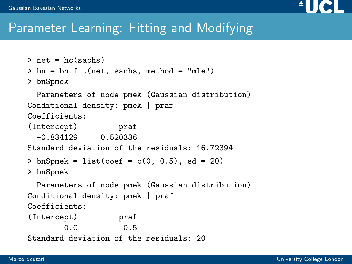

#### Parameter Learning: Fitting and Modifying

```
\sum net = hc(sachs)
> bn = bn.fit(net, sachs, method = "mle")
> bn$pmek
  Parameters of node pmek (Gaussian distribution)
Conditional density: pmek | praf
Coefficients:
(Intercept) praf
  -0.834129 0.520336
Standard deviation of the residuals: 16.72394
> bn$pmek = list(coef = c(0, 0.5), sd = 20)
> bn$pmek
  Parameters of node pmek (Gaussian distribution)
Conditional density: pmek | praf
Coefficients:
(Intercept) praf
       0.0 0.5
Standard deviation of the residuals: 20
```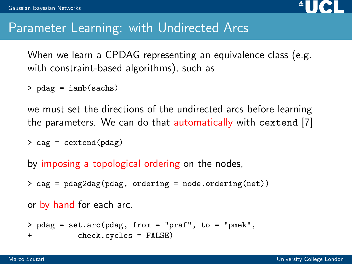

#### Parameter Learning: with Undirected Arcs

When we learn a CPDAG representing an equivalence class (e.g. with constraint-based algorithms), such as

> pdag = iamb(sachs)

we must set the directions of the undirected arcs before learning the parameters. We can do that automatically with cextend [\[7\]](#page-66-2)

```
> dag = cextend(pdag)
```
by imposing a topological ordering on the nodes,

```
> dag = pdag2dag(pdag, ordering = node.ordering(net))
```
or by hand for each arc.

> pdag = set.arc(pdag, from = "praf", to = "pmek", + check.cycles = FALSE)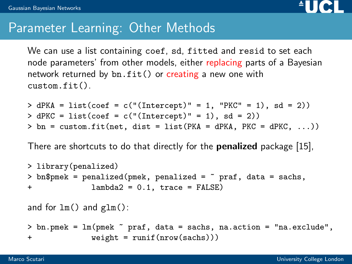

#### Parameter Learning: Other Methods

We can use a list containing coef, sd, fitted and resid to set each node parameters' from other models, either replacing parts of a Bayesian network returned by  $bn.fit()$  or creating a new one with custom.fit().

 $>$  dPKA = list(coef = c("(Intercept)" = 1, "PKC" = 1), sd = 2))  $>$  dPKC = list(coef = c("(Intercept)" = 1), sd = 2))  $>$  bn = custom.fit(net, dist = list(PKA = dPKA, PKC = dPKC, ...))

There are shortcuts to do that directly for the **penalized** package [\[15\]](#page-68-2),

```
> library(penalized)
> bn$pmek = penalized(pmek, penalized = \tilde{ } praf, data = sachs,
+ lambda2 = 0.1, trace = FALSE)
and for lm() and glm():
> bn.pmek = lm(pmek ~ praf, data = sachs, na.action = "na.exclude",
+ weight = runif(nrow(sachs)))
```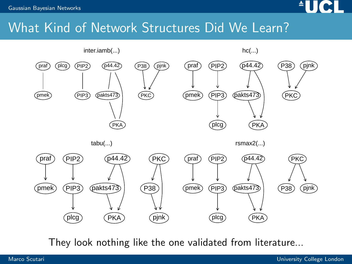

#### What Kind of Network Structures Did We Learn?



They look nothing like the one validated from literature...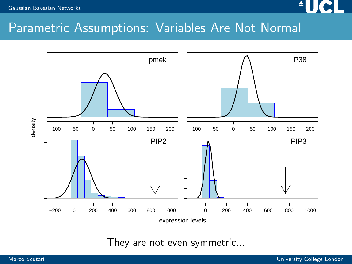#### [Gaussian Bayesian Networks](#page-18-0)



#### Parametric Assumptions: Variables Are Not Normal



They are not even symmetric...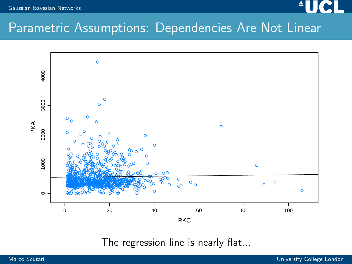### Parametric Assumptions: Dependencies Are Not Linear



The regression line is nearly flat...

Gaussian Bayesian Networks

▲П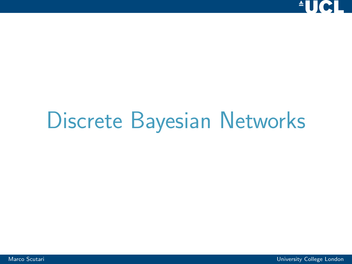<span id="page-31-0"></span>

## [Discrete Bayesian Networks](#page-31-0)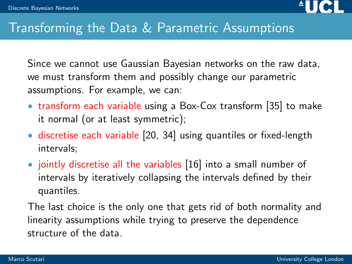

#### Transforming the Data & Parametric Assumptions

Since we cannot use Gaussian Bayesian networks on the raw data, we must transform them and possibly change our parametric assumptions. For example, we can:

- transform each variable using a Box-Cox transform [\[35\]](#page-72-3) to make it normal (or at least symmetric);
- discretise each variable [\[20,](#page-69-1) [34\]](#page-72-4) using quantiles or fixed-length intervals;
- jointly discretise all the variables [\[16\]](#page-68-3) into a small number of intervals by iteratively collapsing the intervals defined by their quantiles.

The last choice is the only one that gets rid of both normality and linearity assumptions while trying to preserve the dependence structure of the data.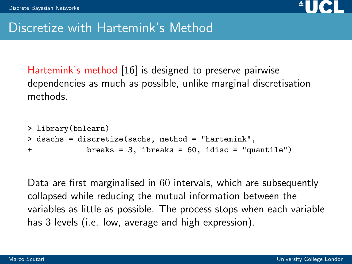

#### Discretize with Hartemink's Method

Hartemink's method [\[16\]](#page-68-3) is designed to preserve pairwise dependencies as much as possible, unlike marginal discretisation methods.

```
> library(bnlearn)
> dsachs = discretize(sachs, method = "hartemink",
+ breaks = 3, ibreaks = 60, idisc = "quantile")
```
Data are first marginalised in 60 intervals, which are subsequently collapsed while reducing the mutual information between the variables as little as possible. The process stops when each variable has 3 levels (i.e. low, average and high expression).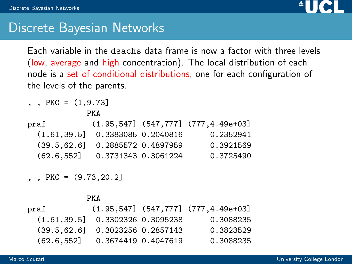

#### Discrete Bayesian Networks

Each variable in the dsachs data frame is now a factor with three levels (low, average and high concentration). The local distribution of each node is a set of conditional distributions, one for each configuration of the levels of the parents.

, , PKC =  $(1, 9.73]$ PKA praf (1.95,547] (547,777] (777,4.49e+03] (1.61,39.5] 0.3383085 0.2040816 0.2352941 (39.5,62.6] 0.2885572 0.4897959 0.3921569 (62.6,552] 0.3731343 0.3061224 0.3725490

 $PKC = (9.73.20.2]$ 

|                                   | PKA                 |                                              |
|-----------------------------------|---------------------|----------------------------------------------|
| praf                              |                     | $(1.95, 547]$ $(547, 777]$ $(777, 4.49e+03]$ |
| $(1.61.39.5]$ 0.3302326 0.3095238 |                     | 0.3088235                                    |
| $(39.5.62.6]$ 0.3023256 0.2857143 |                     | 0.3823529                                    |
| (62.6.552]                        | 0.3674419 0.4047619 | 0.3088235                                    |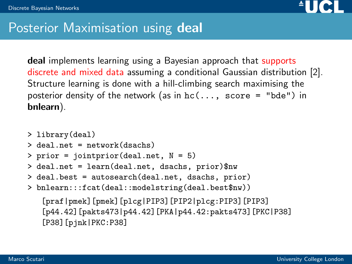

#### Posterior Maximisation using deal

deal implements learning using a Bayesian approach that supports discrete and mixed data assuming a conditional Gaussian distribution [\[2\]](#page-65-0). Structure learning is done with a hill-climbing search maximising the posterior density of the network (as in  $hc( \ldots, score = "bde")$  in bnlearn).

```
> library(deal)
> deal.net = network(dsachs)
> prior = jointprior(deal.net, N = 5)
> deal.net = learn(deal.net, dsachs, prior)$nw
> deal.best = autosearch(deal.net, dsachs, prior)
> bnlearn:::fcat(deal::modelstring(deal.best$nw))
   [praf|pmek][pmek][plcg|PIP3][PIP2|plcg:PIP3][PIP3]
   [p44.42][pakts473|p44.42][PKA|p44.42:pakts473][PKC|P38]
   [P38][pjnk|PKC:P38]
```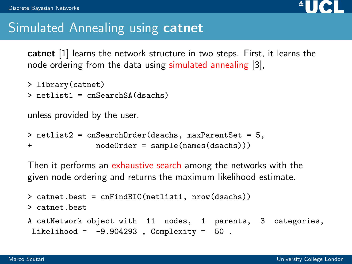

### Simulated Annealing using **catnet**

catnet [\[1\]](#page-65-0) learns the network structure in two steps. First, it learns the node ordering from the data using simulated annealing [\[3\]](#page-65-1),

```
> library(catnet)
```

```
> netlist1 = cnSearchSA(dsachs)
```
unless provided by the user.

```
> netlist2 = cnSearchOrder(dsachs, maxParentSet = 5,
+ nodeOrder = sample(names(dsachs)))
```
Then it performs an exhaustive search among the networks with the given node ordering and returns the maximum likelihood estimate.

```
> catnet.best = cnFindBIC(netlist1, nrow(dsachs))
> catnet.best
A catNetwork object with 11 nodes, 1 parents, 3 categories,
Likelihood = -9.904293, Complexity = 50.
```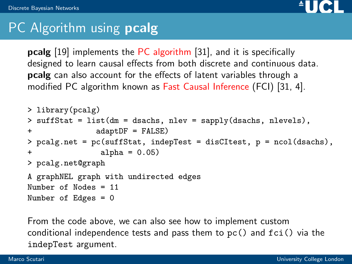

## PC Algorithm using **pcalg**

**pcalg** [\[19\]](#page-69-0) implements the PC algorithm [\[31\]](#page-72-0), and it is specifically designed to learn causal effects from both discrete and continuous data. pcalg can also account for the effects of latent variables through a modified PC algorithm known as Fast Causal Inference (FCI) [\[31,](#page-72-0) [4\]](#page-65-2).

```
> library(pcalg)
> suffStat = list(dm = dsachs, nlev = sapply(dsachs, nlevels),
+ adaptDF = FALSE)
> pcalg.net = pc(suffStat, indepTest = disCItest, p = ncol(dsachs),
+ alpha = 0.05)
> pcalg.net@graph
A graphNEL graph with undirected edges
Number of Nodes = 11
Number of Edges = 0
```
From the code above, we can also see how to implement custom conditional independence tests and pass them to pc() and fci() via the indepTest argument.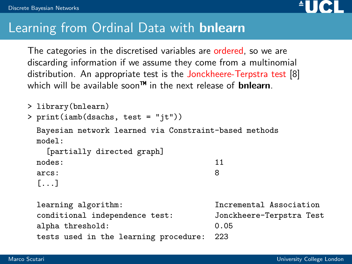

### Learning from Ordinal Data with **bnlearn**

The categories in the discretised variables are ordered, so we are discarding information if we assume they come from a multinomial distribution. An appropriate test is the Jonckheere-Terpstra test [\[8\]](#page-66-0) which will be available soon<sup>TM</sup> in the next release of **bnlearn**.

```
> library(bnlearn)
```

```
> print(iamb(dsachs, test = "jt"))
```
Bayesian network learned via Constraint-based methods model:

```
[partially directed graph]
nodes: 11
arcs: 8
```

```
[...]
```
learning algorithm: Incremental Association conditional independence test: Jonckheere-Terpstra Test alpha threshold: 0.05 tests used in the learning procedure: 223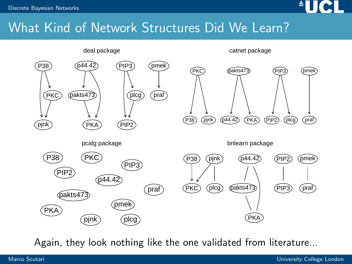

### What Kind of Network Structures Did We Learn?



Again, they look nothing like the one validated from literature...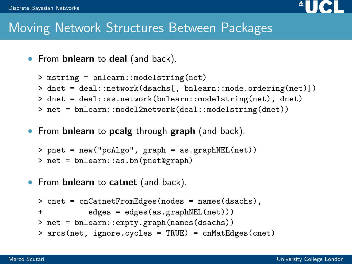#### [Discrete Bayesian Networks](#page-31-0)



### Moving Network Structures Between Packages

• From **bnlearn** to deal (and back).

```
> mstring = bnlearn::modelstring(net)
> dnet = deal::network(dsachs[, bnlearn::node.ordering(net)])
> dnet = deal::as.network(bnlearn::modelstring(net), dnet)
> net = bnlearn::model2network(deal::modelstring(dnet))
```
• From bnlearn to pcalg through graph (and back).

```
> pnet = new("pcAlgo", graph = as.graphNEL(net))
> net = bnlearn::as.bn(pnet@graph)
```
• From **bnlearn** to **catnet** (and back).

```
> cnet = cnCatnetFromEdges(nodes = names(dsachs),
+ edges = edges(as.graphNEL(net)))
> net = bnlearn::empty.graph(names(dsachs))
> arcs(net, ignore.cycles = TRUE) = cnMatEdges(cnet)
```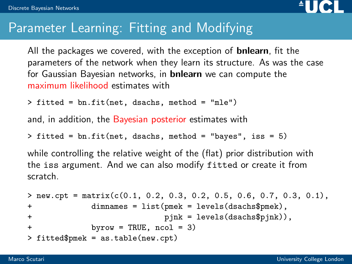

### Parameter Learning: Fitting and Modifying

All the packages we covered, with the exception of **bnlearn**, fit the parameters of the network when they learn its structure. As was the case for Gaussian Bayesian networks, in bnlearn we can compute the maximum likelihood estimates with

```
> fitted = bn.fit(net, dsachs, method = "mle")
```
and, in addition, the Bayesian posterior estimates with

```
> fitted = bn.fit(net, dsachs, method = "bayes", iss = 5)
```
while controlling the relative weight of the (flat) prior distribution with the iss argument. And we can also modify fitted or create it from scratch.

```
> new.cpt = matrix(c(0.1, 0.2, 0.3, 0.2, 0.5, 0.6, 0.7, 0.3, 0.1),
+ dimnames = list(pmek = levels(dsachs$pmek),
+ pjnk = levels(dsachs$pjnk)),
+ byrow = TRUE, ncol = 3)
> fitted$pmek = as.table(new.cpt)
```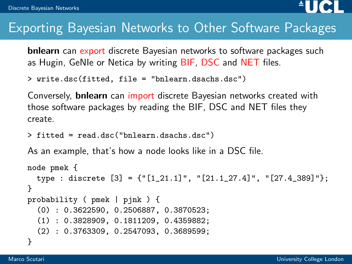

### Exporting Bayesian Networks to Other Software Packages

**bnlearn** can export discrete Bayesian networks to software packages such as Hugin, GeNIe or Netica by writing BIF, DSC and NET files.

```
> write.dsc(fitted, file = "bnlearn.dsachs.dsc")
```
Conversely, bnlearn can import discrete Bayesian networks created with those software packages by reading the BIF, DSC and NET files they create.

```
> fitted = read.dsc("bnlearn.dsachs.dsc")
```
As an example, that's how a node looks like in a DSC file.

```
node pmek {
  type : discrete [3] = {"[1_21.1]", "[21.1_27.4]", "[27.4_389]"};
}
probability ( pmek | pjnk ) {
  (0) : 0.3622590, 0.2506887, 0.3870523;
  (1) : 0.3828909, 0.1811209, 0.4359882;
  (2) : 0.3763309, 0.2547093, 0.3689599;
}
```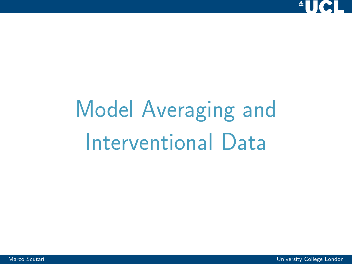<span id="page-43-0"></span>

# [Model Averaging and](#page-43-0) [Interventional Data](#page-43-0)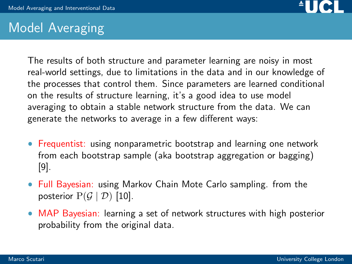

### Model Averaging

The results of both structure and parameter learning are noisy in most real-world settings, due to limitations in the data and in our knowledge of the processes that control them. Since parameters are learned conditional on the results of structure learning, it's a good idea to use model averaging to obtain a stable network structure from the data. We can generate the networks to average in a few different ways:

- **•** Frequentist: using nonparametric bootstrap and learning one network from each bootstrap sample (aka bootstrap aggregation or bagging) [\[9\]](#page-66-1).
- Full Bayesian: using Markov Chain Mote Carlo sampling. from the posterior  $P(G | D)$  [\[10\]](#page-67-0).
- MAP Bayesian: learning a set of network structures with high posterior probability from the original data.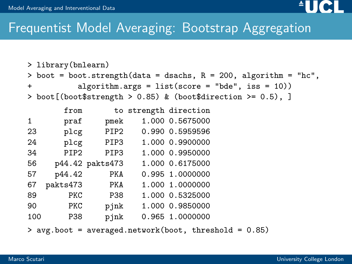

### Frequentist Model Averaging: Bootstrap Aggregation

```
> library(bnlearn)
> boot = boot.strength(data = dsachs, R = 200, algorithm = "hc",
+ algorithm.args = list(score = "bde", iss = 10))
> boot[(boot$strength > 0.85) & (boot$direction >= 0.5), ]
      from to strength direction
1 praf pmek 1.000 0.5675000
23 plcg PIP2 0.990 0.5959596
24 plcg PIP3 1.000 0.9900000
34 PIP2 PIP3 1.000 0.9950000
56 p44.42 pakts473 1.000 0.6175000
57 p44.42 PKA 0.995 1.0000000
67 pakts473 PKA 1.000 1.0000000
89 PKC P38 1.000 0.5325000
90 PKC pjnk 1.000 0.9850000
100 P38 pjnk 0.965 1.0000000
```
> avg.boot = averaged.network(boot, threshold = 0.85)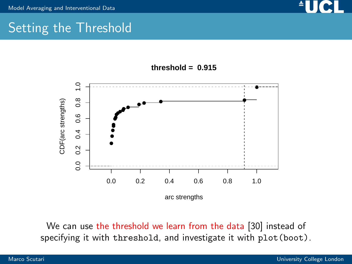

### Setting the Threshold





We can use the threshold we learn from the data [\[30\]](#page-71-0) instead of specifying it with threshold, and investigate it with plot(boot).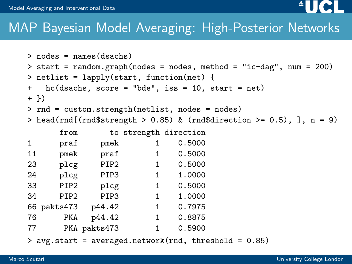

```
> nodes = names(dsachs)
> start = random.graph(nodes = nodes, method = "ic-dag", num = 200)
> netlist = lapply(start, function(net) {
+ hc(dsachs, score = "bde", iss = 10, start = net)
+ })
> rnd = custom.strength(netlist, nodes = nodes)
> head(rnd[(rnd$strength > 0.85) & (rnd$direction >= 0.5), \}, n = 9)
```

|    | from             |                  |   | to strength direction |
|----|------------------|------------------|---|-----------------------|
| 1  | praf             | pmek             | 1 | 0.5000                |
| 11 | pmek             | praf             | 1 | 0.5000                |
| 23 | plcg             | PIP <sub>2</sub> | 1 | 0.5000                |
| 24 | plcg             | PIP3             | 1 | 1.0000                |
| 33 | PIP <sub>2</sub> | plcg             | 1 | 0.5000                |
| 34 | PIP <sub>2</sub> | PIP3             | 1 | 1.0000                |
|    | 66 pakts473      | p44.42           | 1 | 0.7975                |
| 76 | PKA              | p44.42           | 1 | 0.8875                |
| 77 |                  | PKA pakts473     | 1 | 0.5900                |

> avg.start = averaged.network(rnd, threshold = 0.85)

 $\triangle$ lici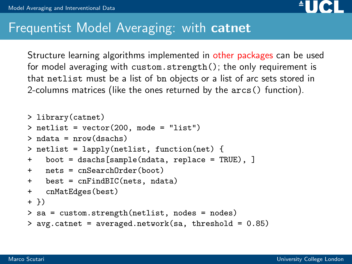

### **Frequentist Model Averaging: with catnet**

Structure learning algorithms implemented in other packages can be used for model averaging with custom.strength(); the only requirement is that netlist must be a list of bn objects or a list of arc sets stored in 2-columns matrices (like the ones returned by the arcs() function).

```
> library(catnet)
\ge netlist = vector(200, mode = "list")
> ndata = nrow(dsachs)
> netlist = lapply(netlist, function(net) {
+ boot = dsachs[sample(ndata, replace = TRUE), ]
+ nets = cnSearchOrder(boot)
+ best = cnFindBIC(nets, ndata)
+ cnMatEdges(best)
+ })
> sa = custom.strength(netlist, nodes = nodes)
> avg.catnet = averaged.network(sa, threshold = 0.85)
```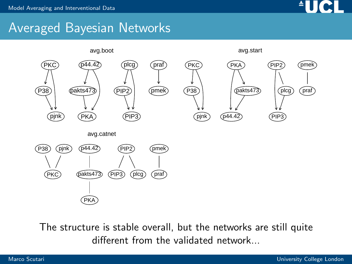

### Averaged Bayesian Networks



The structure is stable overall, but the networks are still quite different from the validated network...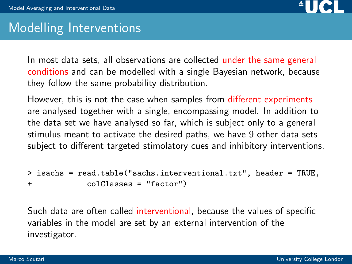

### Modelling Interventions

In most data sets, all observations are collected under the same general conditions and can be modelled with a single Bayesian network, because they follow the same probability distribution.

However, this is not the case when samples from different experiments are analysed together with a single, encompassing model. In addition to the data set we have analysed so far, which is subject only to a general stimulus meant to activate the desired paths, we have 9 other data sets subject to different targeted stimolatory cues and inhibitory interventions.

```
> isachs = read.table("sachs.interventional.txt", header = TRUE,
+ colClasses = "factor")
```
Such data are often called interventional, because the values of specific variables in the model are set by an external intervention of the investigator.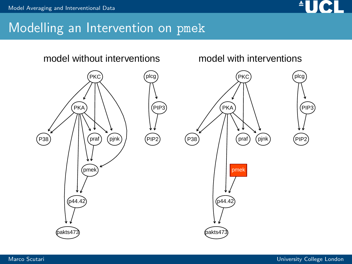

### Modelling an Intervention on pmek

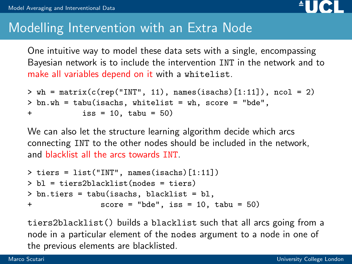

### Modelling Intervention with an Extra Node

One intuitive way to model these data sets with a single, encompassing Bayesian network is to include the intervention INT in the network and to make all variables depend on it with a whitelist.

```
> wh = matrix(c(rep("INT", 11), names(isachs)[1:11]), ncol = 2)
> bn.wh = tabu(isachs, whitelist = wh, score = "bde",
+ iss = 10, tabu = 50)
```
We can also let the structure learning algorithm decide which arcs connecting INT to the other nodes should be included in the network, and blacklist all the arcs towards INT.

```
> tiers = list("INT", names(isachs)[1:11])
> bl = tiers2blacklist(nodes = tiers)
> bn.tiers = tabu(isachs, blacklist = bl,
+ score = "bde", iss = 10, tabu = 50)
```
tiers2blacklist() builds a blacklist such that all arcs going from a node in a particular element of the nodes argument to a node in one of the previous elements are blacklisted.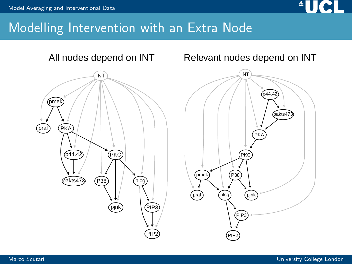

### Modelling Intervention with an Extra Node



Relevant nodes depend on INT

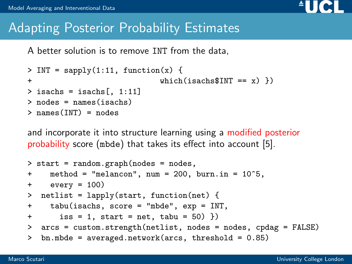

### Adapting Posterior Probability Estimates

A better solution is to remove INT from the data,

```
> INT = sapply(1:11, function(x) {
+ which(isachs$INT == x) })
> isachs = isachs[, 1:11]
> nodes = names(isachs)
> names(INT) = nodes
```
and incorporate it into structure learning using a modified posterior probability score (mbde) that takes its effect into account [\[5\]](#page-65-3).

```
> start = random.graph(nodes = nodes,
+ method = "melancon", num = 200, burn.in = 10^5,
+ every = 100)
> netlist = lapply(start, function(net) {
+ tabu(isachs, score = "mbde", exp = INT,
+ iss = 1, start = net, tabu = 50) })
> arcs = custom.strength(netlist, nodes = nodes, cpdag = FALSE)
> bn.mbde = averaged.network(arcs, threshold = 0.85)
```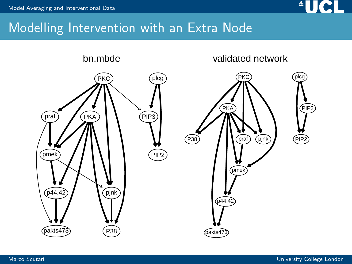

### Modelling Intervention with an Extra Node

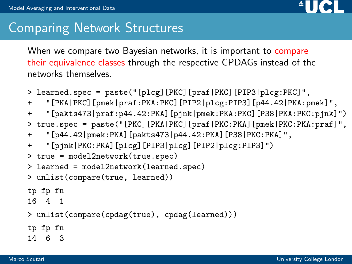

### Comparing Network Structures

When we compare two Bayesian networks, it is important to compare their equivalence classes through the respective CPDAGs instead of the networks themselves.

```
> learned.spec = paste("[plcg][PKC][praf|PKC][PIP3|plcg:PKC]",
+ "[PKA|PKC][pmek|praf:PKA:PKC][PIP2|plcg:PIP3][p44.42|PKA:pmek]",
+ "[pakts473|praf:p44.42:PKA][pjnk|pmek:PKA:PKC][P38|PKA:PKC:pjnk]")
> true.spec = paste("[PKC][PKA|PKC][praf|PKC:PKA][pmek|PKC:PKA:praf]",
+ "[p44.42|pmek:PKA][pakts473|p44.42:PKA][P38|PKC:PKA]",
+ "[pjnk|PKC:PKA][plcg][PIP3|plcg][PIP2|plcg:PIP3]")
> true = model2network(true.spec)
> learned = model2network(learned.spec)
> unlist(compare(true, learned))
tp fp fn
16 4 1
> unlist(compare(cpdag(true), cpdag(learned)))
tp fp fn
14 6 3
```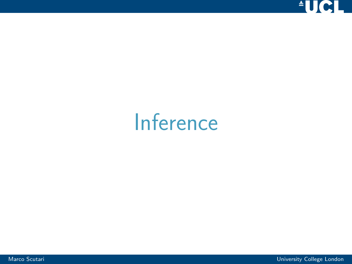

## <span id="page-57-0"></span>[Inference](#page-57-0)

Marco Scutari University College London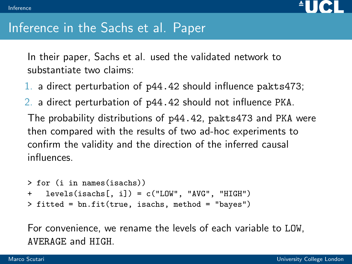

### Inference in the Sachs et al. Paper

In their paper, Sachs et al. used the validated network to substantiate two claims:

- 1. a direct perturbation of p44.42 should influence pakts473;
- 2. a direct perturbation of p44.42 should not influence PKA.

The probability distributions of p44.42, pakts473 and PKA were then compared with the results of two ad-hoc experiments to confirm the validity and the direction of the inferred causal influences.

```
> for (i in names(isachs))
+ levels(isachs[, i]) = c("LOW", "AVG", "HIGH")
> fitted = bn.fit(true, isachs, method = "bayes")
```
For convenience, we rename the levels of each variable to LOW, AVERAGE and HIGH.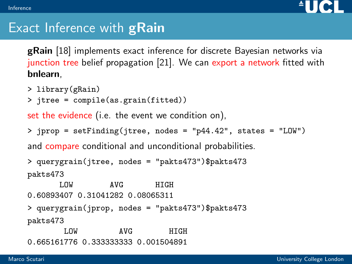

### Exact Inference with **gRain**

gRain [\[18\]](#page-69-1) implements exact inference for discrete Bayesian networks via junction tree belief propagation [\[21\]](#page-69-2). We can export a network fitted with bnlearn,

- > library(gRain)
- > jtree = compile(as.grain(fitted))

set the evidence (i.e. the event we condition on),

```
> jprop = setFinding(jtree, nodes = "p44.42", states = "LOW")
```
and compare conditional and unconditional probabilities.

```
> querygrain(jtree, nodes = "pakts473")$pakts473
pakts473
```
LOW AVG HIGH 0.60893407 0.31041282 0.08065311 > querygrain(jprop, nodes = "pakts473")\$pakts473 pakts473

LOW AVG HIGH 0.665161776 0.333333333 0.001504891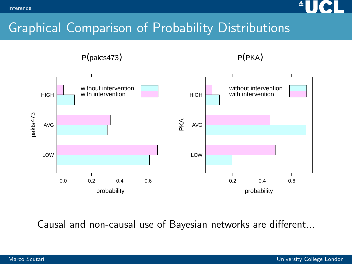

### Graphical Comparison of Probability Distributions

P(pakts473)

P(PKA)



Causal and non-causal use of Bayesian networks are different...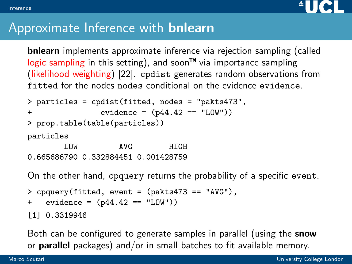

### Approximate Inference with bnlearn

bnlearn implements approximate inference via rejection sampling (called logic sampling in this setting), and soon<sup> $m$ </sup> via importance sampling (likelihood weighting) [\[22\]](#page-69-3). cpdist generates random observations from fitted for the nodes nodes conditional on the evidence evidence.

```
> particles = cpdist(fitted, nodes = "pakts473",
+ evidence = (p44.42 == "LOW"))
> prop.table(table(particles))
particles
      LOW AVG HIGH
0.665686790 0.332884451 0.001428759
```
On the other hand, cpquery returns the probability of a specific event.

```
> cpquery(fitted, event = (pakts473 == "AVG"),
+ evidence = (p44.42 == "LOW"))
[1] 0.3319946
```
Both can be configured to generate samples in parallel (using the **snow** or parallel packages) and/or in small batches to fit available memory.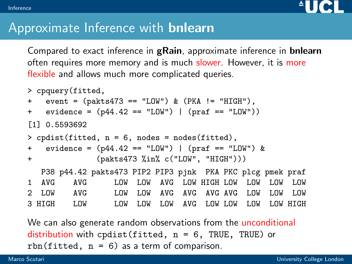

### Approximate Inference with bnlearn

Compared to exact inference in gRain, approximate inference in bnlearn often requires more memory and is much slower. However, it is more flexible and allows much more complicated queries.

```
> cpquery(fitted,
+ event = (pakts473 == "LOW") & (PKA != "HIGH"),
+ evidence = (p44.42 == "LOW") | (praf == "LOW")[1] 0.5593692
> cpdist(fitted, n = 6, nodes = nodes(fitted),
+ evidence = (p44.42 == "LOW") | (praf == "LOW") &
+ (pakts473 %in% c("LOW", "HIGH")))
  P38 p44.42 pakts473 PIP2 PIP3 pjnk PKA PKC plcg pmek praf
1 AVG AVG LOW LOW AVG LOW HIGH LOW LOW LOW LOW
2 LOW AVG LOW LOW AVG AVG AVG AVG LOW LOW LOW
3 HIGH LOW LOW LOW LOW AVG LOW LOW LOW LOW HIGH
```
We can also generate random observations from the unconditional distribution with cpdist(fitted,  $n = 6$ , TRUE, TRUE) or rbn(fitted,  $n = 6$ ) as a term of comparison.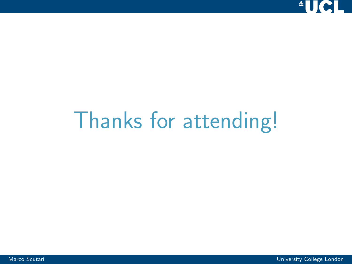<span id="page-63-0"></span>

## [Thanks for attending!](#page-63-0)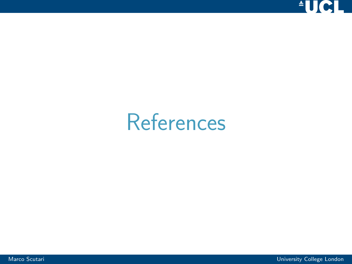

## <span id="page-64-0"></span>**[References](#page-64-0)**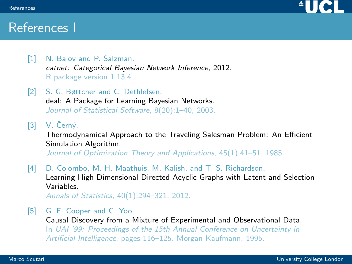

### References I

- <span id="page-65-0"></span>[1] N. Balov and P. Salzman. catnet: Categorical Bayesian Network Inference, 2012. R package version 1.13.4.
- [2] S. G. Bøttcher and C. Dethlefsen. deal: A Package for Learning Bayesian Networks. Journal of Statistical Software, 8(20):1–40, 2003.
- <span id="page-65-1"></span> $[3]$  V. Černý.

Thermodynamical Approach to the Traveling Salesman Problem: An Efficient Simulation Algorithm.

Journal of Optimization Theory and Applications, 45(1):41-51, 1985.

<span id="page-65-2"></span>[4] D. Colombo, M. H. Maathuis, M. Kalish, and T. S. Richardson. Learning High-Dimensional Directed Acyclic Graphs with Latent and Selection Variables.

Annals of Statistics, 40(1):294–321, 2012.

<span id="page-65-3"></span>[5] G. F. Cooper and C. Yoo.

Causal Discovery from a Mixture of Experimental and Observational Data.

In UAI '99: Proceedings of the 15th Annual Conference on Uncertainty in Artificial Intelligence, pages 116–125. Morgan Kaufmann, 1995.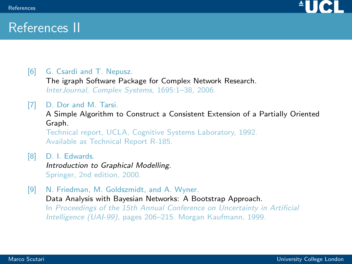

### References II

[6] G. Csardi and T. Nepusz.

The igraph Software Package for Complex Network Research. InterJournal, Complex Systems, 1695:1–38, 2006.

- [7] D. Dor and M. Tarsi. A Simple Algorithm to Construct a Consistent Extension of a Partially Oriented Graph. Technical report, UCLA, Cognitive Systems Laboratory, 1992. Available as Technical Report R-185.
- <span id="page-66-0"></span>[8] D. I. Edwards. Introduction to Graphical Modelling. Springer, 2nd edition, 2000.
- <span id="page-66-1"></span>[9] N. Friedman, M. Goldszmidt, and A. Wyner. Data Analysis with Bayesian Networks: A Bootstrap Approach. In Proceedings of the 15th Annual Conference on Uncertainty in Artificial Intelligence (UAI-99), pages 206–215. Morgan Kaufmann, 1999.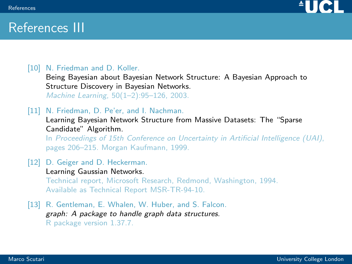

### References III

### <span id="page-67-0"></span>[10] N. Friedman and D. Koller.

Being Bayesian about Bayesian Network Structure: A Bayesian Approach to Structure Discovery in Bayesian Networks.

Machine Learning, 50(1–2):95–126, 2003.

#### [11] N. Friedman, D. Pe'er, and I. Nachman.

Learning Bayesian Network Structure from Massive Datasets: The "Sparse Candidate" Algorithm.

In Proceedings of 15th Conference on Uncertainty in Artificial Intelligence (UAI), pages 206–215. Morgan Kaufmann, 1999.

#### [12] D. Geiger and D. Heckerman.

Learning Gaussian Networks. Technical report, Microsoft Research, Redmond, Washington, 1994. Available as Technical Report MSR-TR-94-10.

[13] R. Gentleman, E. Whalen, W. Huber, and S. Falcon. graph: A package to handle graph data structures. R package version 1.37.7.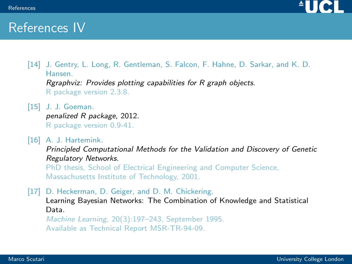

### References IV

- [14] J. Gentry, L. Long, R. Gentleman, S. Falcon, F. Hahne, D. Sarkar, and K. D. Hansen. Rgraphviz: Provides plotting capabilities for R graph objects. R package version 2.3.8.
- [15] J. J. Goeman. penalized R package, 2012. R package version 0.9-41.
- [16] A. J. Hartemink. Principled Computational Methods for the Validation and Discovery of Genetic Regulatory Networks.

PhD thesis, School of Electrical Engineering and Computer Science, Massachusetts Institute of Technology, 2001.

[17] D. Heckerman, D. Geiger, and D. M. Chickering. Learning Bayesian Networks: The Combination of Knowledge and Statistical Data.

Machine Learning, 20(3):197–243, September 1995. Available as Technical Report MSR-TR-94-09.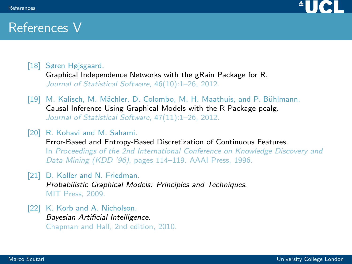

### References V

<span id="page-69-1"></span>[18] Søren Højsgaard.

Graphical Independence Networks with the gRain Package for R. Journal of Statistical Software, 46(10):1–26, 2012.

- <span id="page-69-0"></span>[19] M. Kalisch, M. Mächler, D. Colombo, M. H. Maathuis, and P. Bühlmann. Causal Inference Using Graphical Models with the R Package pcalg. Journal of Statistical Software, 47(11):1–26, 2012.
- [20] R. Kohavi and M. Sahami.

Error-Based and Entropy-Based Discretization of Continuous Features. In Proceedings of the 2nd International Conference on Knowledge Discovery and Data Mining (KDD '96), pages 114–119. AAAI Press, 1996.

- <span id="page-69-2"></span>[21] D. Koller and N. Friedman. Probabilistic Graphical Models: Principles and Techniques. MIT Press, 2009.
- <span id="page-69-3"></span>[22] K. Korb and A. Nicholson. Bayesian Artificial Intelligence. Chapman and Hall, 2nd edition, 2010.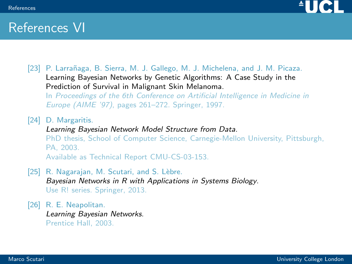

### References VI

[23] P. Larrañaga, B. Sierra, M. J. Gallego, M. J. Michelena, and J. M. Picaza. Learning Bayesian Networks by Genetic Algorithms: A Case Study in the Prediction of Survival in Malignant Skin Melanoma.

In Proceedings of the 6th Conference on Artificial Intelligence in Medicine in Europe (AIME '97), pages 261–272. Springer, 1997.

[24] D. Margaritis.

Learning Bayesian Network Model Structure from Data. PhD thesis, School of Computer Science, Carnegie-Mellon University, Pittsburgh, PA, 2003. Available as Technical Report CMU-CS-03-153.

- [25] R. Nagarajan, M. Scutari, and S. Lèbre. Bayesian Networks in R with Applications in Systems Biology. Use R! series. Springer, 2013.
- [26] R. E. Neapolitan. Learning Bayesian Networks. Prentice Hall, 2003.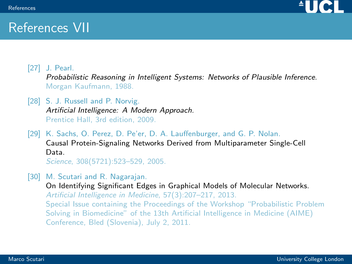

### References VII

[27] J. Pearl.

Probabilistic Reasoning in Intelligent Systems: Networks of Plausible Inference. Morgan Kaufmann, 1988.

[28] S. J. Russell and P. Norvig. Artificial Intelligence: A Modern Approach. Prentice Hall, 3rd edition, 2009.

[29] K. Sachs, O. Perez, D. Pe'er, D. A. Lauffenburger, and G. P. Nolan. Causal Protein-Signaling Networks Derived from Multiparameter Single-Cell Data. Science, 308(5721):523–529, 2005.

<span id="page-71-0"></span>[30] M. Scutari and R. Nagarajan.

On Identifying Significant Edges in Graphical Models of Molecular Networks. Artificial Intelligence in Medicine, 57(3):207–217, 2013. Special Issue containing the Proceedings of the Workshop "Probabilistic Problem Solving in Biomedicine" of the 13th Artificial Intelligence in Medicine (AIME) Conference, Bled (Slovenia), July 2, 2011.